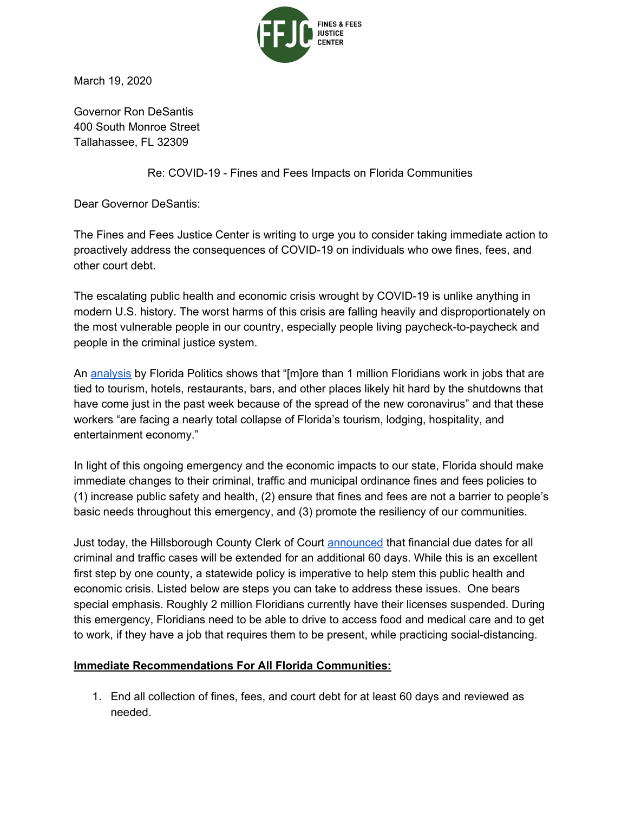

March 19, 2020

Governor Ron DeSantis 400 South Monroe Street Tallahassee, FL 32309

Re: COVID-19 - Fines and Fees Impacts on Florida Communities

Dear Governor DeSantis:

The Fines and Fees Justice Center is writing to urge you to consider taking immediate action to proactively address the consequences of COVID-19 on individuals who owe fines, fees, and other court debt.

The escalating public health and economic crisis wrought by COVID-19 is unlike anything in modern U.S. history. The worst harms of this crisis are falling heavily and disproportionately on the most vulnerable people in our country, especially people living paycheck-to-paycheck and people in the criminal justice system.

An [analysis](https://floridapolitics.com/archives/323826-florida-politics-analysis-more-than-1-million-florida-jobs-in-jeopardy-by-coronavirus-shutdowns) by Florida Politics shows that "[m]ore than 1 million Floridians work in jobs that are tied to tourism, hotels, restaurants, bars, and other places likely hit hard by the shutdowns that have come just in the past week because of the spread of the new coronavirus" and that these workers "are facing a nearly total collapse of Florida's tourism, lodging, hospitality, and entertainment economy."

In light of this ongoing emergency and the economic impacts to our state, Florida should make immediate changes to their criminal, traffic and municipal ordinance fines and fees policies to (1) increase public safety and health, (2) ensure that fines and fees are not a barrier to people's basic needs throughout this emergency, and (3) promote the resiliency of our communities.

Just today, the Hillsborough County Clerk of Court [announced](https://www.hillsclerk.com/About-Us/News-Center/Pat-Frank-extends-due-dates-for-fines) that financial due dates for all criminal and traffic cases will be extended for an additional 60 days. While this is an excellent first step by one county, a statewide policy is imperative to help stem this public health and economic crisis. Listed below are steps you can take to address these issues. One bears special emphasis. Roughly 2 million Floridians currently have their licenses suspended. During this emergency, Floridians need to be able to drive to access food and medical care and to get to work, if they have a job that requires them to be present, while practicing social-distancing.

## **Immediate Recommendations For All Florida Communities:**

1. End all collection of fines, fees, and court debt for at least 60 days and reviewed as needed.